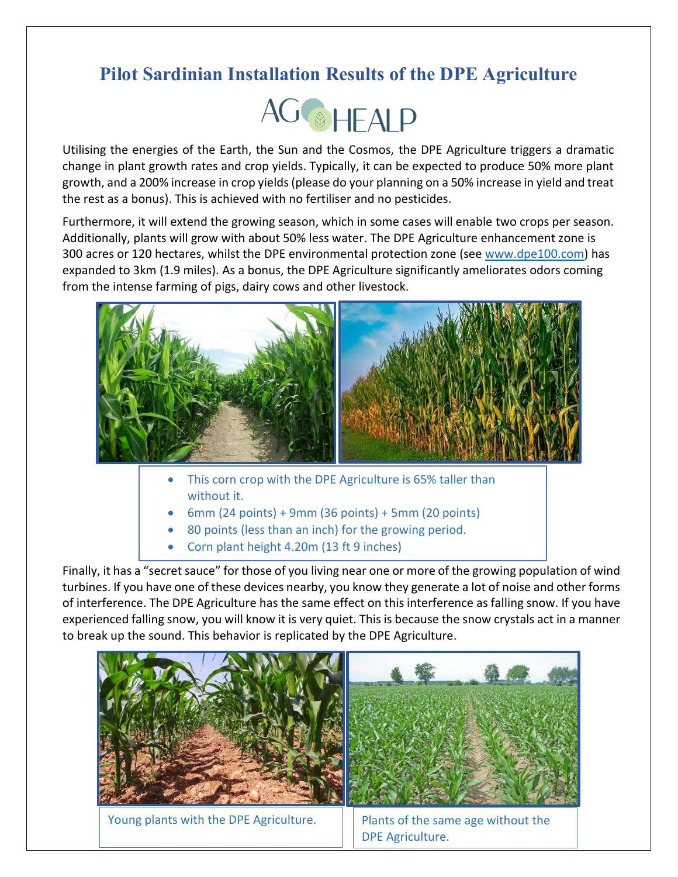## **Pilot Sardinian Installation Results of the DPE Agriculture**



Utilising the energies of the Earth, the Sun and the Cosmos, the DPE Agriculture triggers a dramatic change in plant growth rates and crop yields. Typically, it can be expected to produce 50% more plant growth, and a 200% increase in crop yields (please do your planning on a 50% increase in yield and treat the rest as a bonus). This is achieved with no fertiliser and no pesticides.

Furthermore, it will extend the growing season, which in some cases will enable two crops per season. Additionally, plants will grow with about 50% less water. The DPE Agriculture enhancement zone is 300 acres or 120 hectares, whilst the DPE environmental protection zone (see [www.dpe100.com\)](http://www.dpe100.com/) has expanded to 3km (1.9 miles). As a bonus, the DPE Agriculture significantly ameliorates odors coming from the intense farming of pigs, dairy cows and other livestock.



- This corn crop with the DPE Agriculture is 65% taller than without it.
- $6$ mm (24 points) + 9mm (36 points) + 5mm (20 points)
- 80 points (less than an inch) for the growing period.
- Corn plant height 4.20m (13 ft 9 inches)

Finally, it has a "secret sauce" for those of you living near one or more of the growing population of wind turbines. If you have one of these devices nearby, you know they generate a lot of noise and other forms • of interference. The DPE Agriculture has the same effect on this interference as falling snow. If you have experienced falling snow, you will know it is very quiet. This is because the snow crystals act in a manner to break up the sound. This behavior is replicated by the DPE Agriculture.